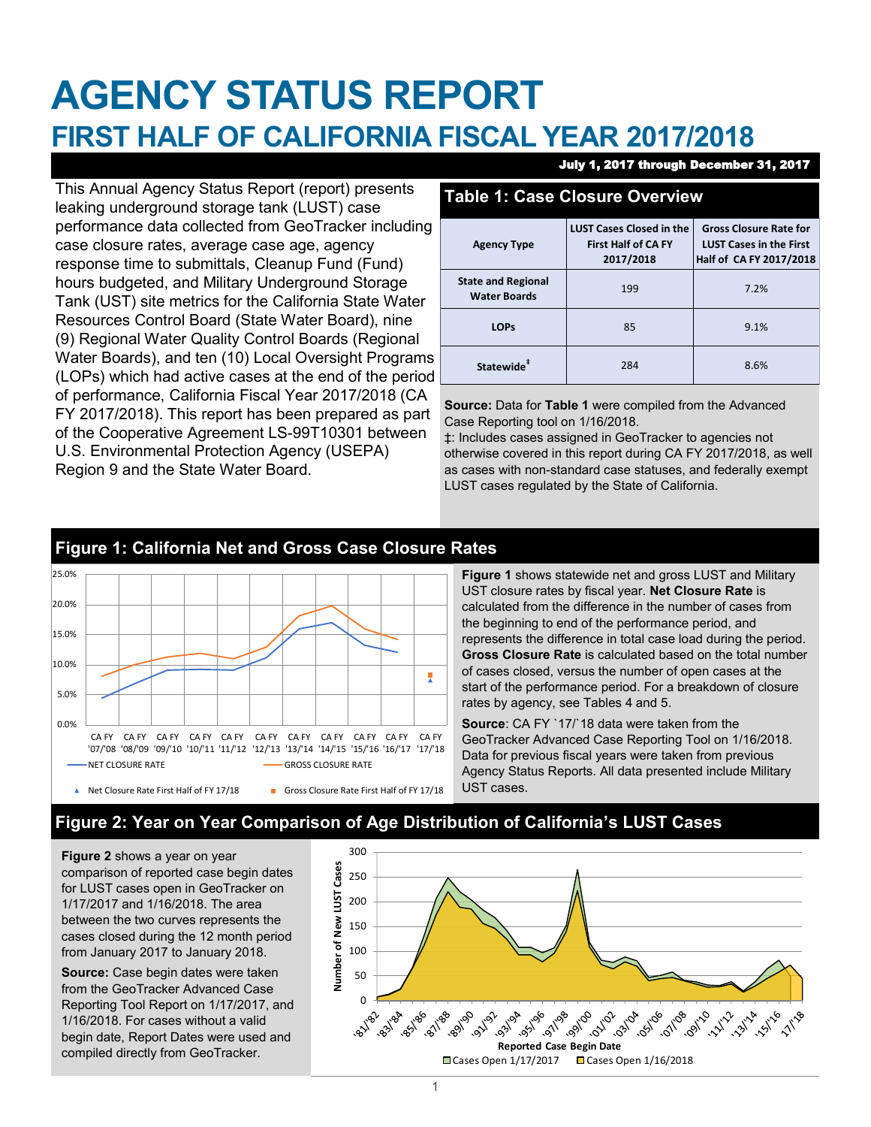# **AGENCY STATUS REPORT FIRST HALF OF CALIFORNIA FISCAL YEAR 2017/2018**

This Annual Agency Status Report (report) presents leaking underground storage tank (LUST) case performance data collected from GeoTracker including case closure rates, average case age, agency response time to submittals, Cleanup Fund (Fund) hours budgeted, and Military Underground Storage Tank (UST) site metrics for the California State Water Resources Control Board (State Water Board), nine (9) Regional Water Quality Control Boards (Regional Water Boards), and ten (10) Local Oversight Programs (LOPs) which had active cases at the end of the period of performance, California Fiscal Year 2017/2018 (CA FY 2017/2018). This report has been prepared as part of the Cooperative Agreement LS-99T10301 between U.S. Environmental Protection Agency (USEPA) Region 9 and the State Water Board.

#### July 1, 2017 through December 31, 2017

### **Table 1: Case Closure Overview**

| <b>Agency Type</b>                               | <b>LUST Cases Closed in the</b><br><b>First Half of CA FY</b><br>2017/2018 | <b>Gross Closure Rate for</b><br><b>LUST Cases in the First</b><br>Half of CA FY 2017/2018 |
|--------------------------------------------------|----------------------------------------------------------------------------|--------------------------------------------------------------------------------------------|
| <b>State and Regional</b><br><b>Water Boards</b> | 199                                                                        | 7.2%                                                                                       |
| <b>LOPs</b>                                      | 85                                                                         | 9.1%                                                                                       |
| Statewide <sup>#</sup>                           | 284                                                                        | 8.6%                                                                                       |

**Source:** Data for **Table 1** were compiled from the Advanced Case Reporting tool on 1/16/2018.

‡: Includes cases assigned in GeoTracker to agencies not otherwise covered in this report during CA FY 2017/2018, as well as cases with non-standard case statuses, and federally exempt LUST cases regulated by the State of California.

# 25.0% 20.0% 15.0% 10.0% 툿 5.0% 0.0% CA FY CA FY CA FY CA FY CA FY CA FY CA FY CA FY CA FY CA FY CA FY '07/'08 '08/'09 '09/'10 '10/'11 '11/'12 '12/'13 '13/'14 '14/'15 '15/'16 '16/'17 '17/'18 NET CLOSURE RATE GROSS CLOSURE RATE Net Closure Rate First Half of FY 17/18 Gross Closure Rate First Half of FY 17/18

### **Figure 1: California Net and Gross Case Closure Rates**

**Figure 1** shows statewide net and gross LUST and Military UST closure rates by fiscal year. **Net Closure Rate** is calculated from the difference in the number of cases from the beginning to end of the performance period, and represents the difference in total case load during the period. **Gross Closure Rate** is calculated based on the total number of cases closed, versus the number of open cases at the start of the performance period. For a breakdown of closure rates by agency, see Tables 4 and 5.

**Source**: CA FY `17/`18 data were taken from the GeoTracker Advanced Case Reporting Tool on 1/16/2018. Data for previous fiscal years were taken from previous Agency Status Reports. All data presented include Military UST cases.

# **Figure 2: Year on Year Comparison of Age Distribution of California's LUST Cases**

**Figure 2** shows a year on year comparison of reported case begin dates for LUST cases open in GeoTracker on 1/17/2017 and 1/16/2018. The area between the two curves represents the cases closed during the 12 month period from January 2017 to January 2018.

**Source:** Case begin dates were taken from the GeoTracker Advanced Case Reporting Tool Report on 1/17/2017, and 1/16/2018. For cases without a valid begin date, Report Dates were used and compiled directly from GeoTracker.

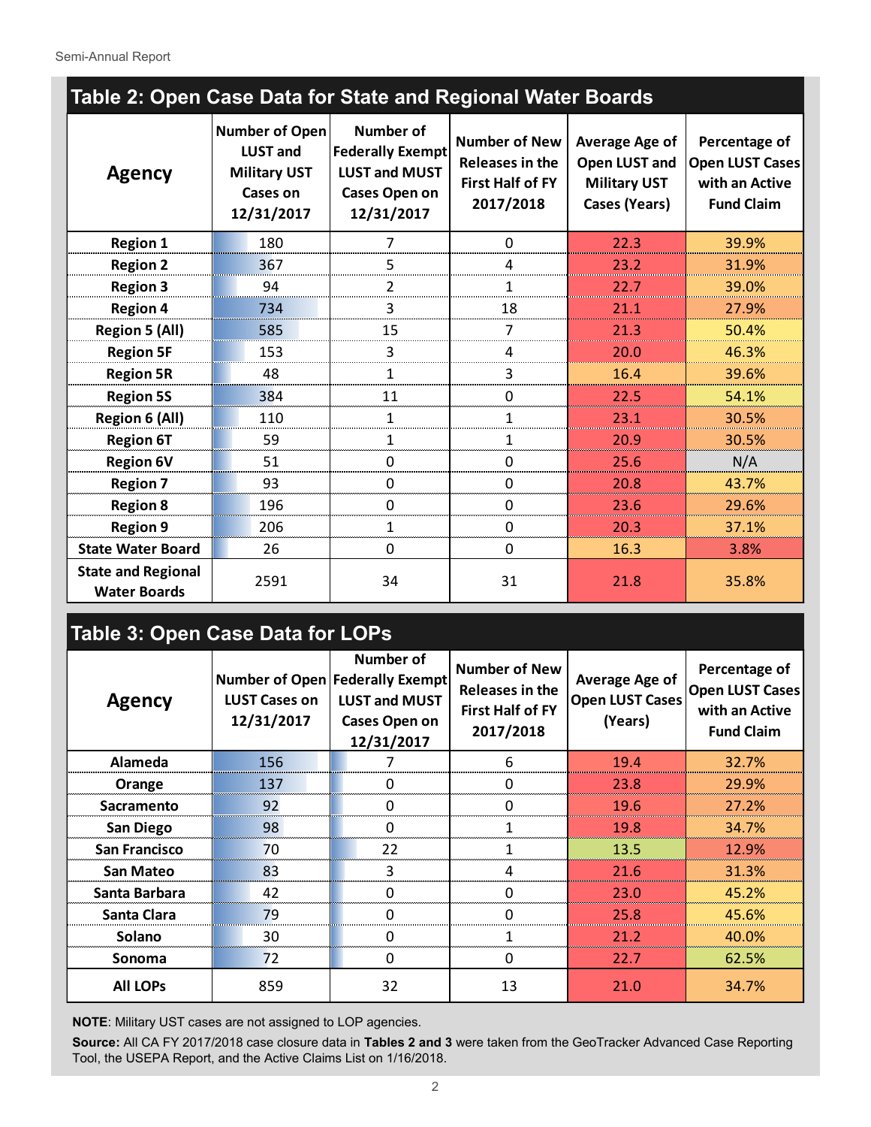Semi-Annual Report

| Table 2: Open Case Data for State and Regional Water Boards |                                                                                           |                                                                                                    |                                                                                 |                                                                                       |                                                                                |  |  |  |  |
|-------------------------------------------------------------|-------------------------------------------------------------------------------------------|----------------------------------------------------------------------------------------------------|---------------------------------------------------------------------------------|---------------------------------------------------------------------------------------|--------------------------------------------------------------------------------|--|--|--|--|
| <b>Agency</b>                                               | Number of Open<br><b>LUST and</b><br><b>Military UST</b><br><b>Cases on</b><br>12/31/2017 | Number of<br><b>Federally Exempt</b><br><b>LUST and MUST</b><br><b>Cases Open on</b><br>12/31/2017 | <b>Number of New</b><br>Releases in the<br><b>First Half of FY</b><br>2017/2018 | <b>Average Age of</b><br>Open LUST and<br><b>Military UST</b><br><b>Cases (Years)</b> | Percentage of<br><b>Open LUST Cases</b><br>with an Active<br><b>Fund Claim</b> |  |  |  |  |
| <b>Region 1</b>                                             | 180                                                                                       | $\overline{7}$                                                                                     | $\Omega$                                                                        | 22.3                                                                                  | 39.9%                                                                          |  |  |  |  |
| <b>Region 2</b>                                             | 367                                                                                       | 5                                                                                                  | 4                                                                               | 23.2                                                                                  | 31.9%                                                                          |  |  |  |  |
| <b>Region 3</b>                                             | 94                                                                                        | 2                                                                                                  | 1                                                                               | 22.7                                                                                  | 39.0%                                                                          |  |  |  |  |
| <b>Region 4</b>                                             | 734                                                                                       | 3                                                                                                  | 18                                                                              | 21.1                                                                                  | 27.9%                                                                          |  |  |  |  |
| <b>Region 5 (All)</b>                                       | 585                                                                                       | 15                                                                                                 | 7                                                                               | 21.3                                                                                  | 50.4%                                                                          |  |  |  |  |
| <b>Region 5F</b>                                            | 153                                                                                       | 3                                                                                                  | 4                                                                               | 20.0                                                                                  | 46.3%                                                                          |  |  |  |  |
| <b>Region 5R</b>                                            | 48                                                                                        | 1                                                                                                  | 3                                                                               | 16.4                                                                                  | 39.6%                                                                          |  |  |  |  |
| <b>Region 5S</b>                                            | 384                                                                                       | 11                                                                                                 | $\mathbf{0}$                                                                    | 22.5                                                                                  | 54.1%                                                                          |  |  |  |  |
| <b>Region 6 (All)</b>                                       | 110                                                                                       | 1                                                                                                  | 1                                                                               | 23.1                                                                                  | 30.5%                                                                          |  |  |  |  |
| <b>Region 6T</b>                                            | 59                                                                                        | 1                                                                                                  | 1                                                                               | 20.9                                                                                  | 30.5%                                                                          |  |  |  |  |
| <b>Region 6V</b>                                            | 51                                                                                        | $\Omega$                                                                                           | $\Omega$                                                                        | 25.6                                                                                  | N/A                                                                            |  |  |  |  |
| <b>Region 7</b>                                             | 93                                                                                        | $\mathbf 0$                                                                                        | $\Omega$                                                                        | 20.8                                                                                  | 43.7%                                                                          |  |  |  |  |
| <b>Region 8</b>                                             | 196                                                                                       | 0                                                                                                  | 0                                                                               | 23.6                                                                                  | 29.6%                                                                          |  |  |  |  |
| <b>Region 9</b>                                             | 206                                                                                       | 1                                                                                                  | $\mathbf{0}$                                                                    | 20.3                                                                                  | 37.1%                                                                          |  |  |  |  |
| <b>State Water Board</b>                                    | 26                                                                                        |                                                                                                    | $\Omega$                                                                        | 16.3                                                                                  | 3.8%                                                                           |  |  |  |  |
| <b>State and Regional</b><br><b>Water Boards</b>            | 2591                                                                                      | 34                                                                                                 | 31                                                                              | 21.8                                                                                  | 35.8%                                                                          |  |  |  |  |

# **Table 3: Open Case Data for LOPs**

| <b>Agency</b>        | <b>LUST Cases on</b><br>12/31/2017 | <b>Number of</b><br>Number of Open Federally Exempt<br><b>LUST and MUST</b><br>Cases Open on<br>12/31/2017 | <b>Number of New</b><br>Releases in the<br><b>First Half of FY</b><br>2017/2018 | <b>Average Age of</b><br><b>Open LUST Cases</b><br>(Years) | Percentage of<br><b>Open LUST Cases</b><br>with an Active<br><b>Fund Claim</b> |  |
|----------------------|------------------------------------|------------------------------------------------------------------------------------------------------------|---------------------------------------------------------------------------------|------------------------------------------------------------|--------------------------------------------------------------------------------|--|
| Alameda              | 156                                |                                                                                                            | 6                                                                               | 19.4                                                       | 32.7%                                                                          |  |
| Orange               | 137                                | $\Omega$                                                                                                   | $\Omega$                                                                        | 23.8                                                       | 29.9%                                                                          |  |
| <b>Sacramento</b>    | 92                                 | $\Omega$                                                                                                   | $\Omega$                                                                        | 19.6                                                       | 27.2%                                                                          |  |
| <b>San Diego</b>     | 98                                 | 0                                                                                                          |                                                                                 | 19.8                                                       | 34.7%                                                                          |  |
| <b>San Francisco</b> | 70                                 | 22                                                                                                         |                                                                                 | 13.5                                                       | 12.9%                                                                          |  |
| <b>San Mateo</b>     | 83                                 | 3                                                                                                          | 4                                                                               | 21.6                                                       | 31.3%                                                                          |  |
| Santa Barbara        | 42                                 | 0                                                                                                          | $\Omega$                                                                        | 23.0                                                       | 45.2%                                                                          |  |
| Santa Clara          | 79                                 | n                                                                                                          | n                                                                               | 25.8                                                       | 45.6%                                                                          |  |
| Solano               | 30                                 | ∩                                                                                                          |                                                                                 | 21.2                                                       | 40.0%                                                                          |  |
| Sonoma               | 72                                 | 0                                                                                                          | 0                                                                               | 22.7                                                       | 62.5%                                                                          |  |
| <b>All LOPS</b>      | 859                                | 32                                                                                                         | 13                                                                              | 21.0                                                       | 34.7%                                                                          |  |

**NOTE**: Military UST cases are not assigned to LOP agencies.

**Source:** All CA FY 2017/2018 case closure data in **Tables 2 and 3** were taken from the GeoTracker Advanced Case Reporting Tool, the USEPA Report, and the Active Claims List on 1/16/2018.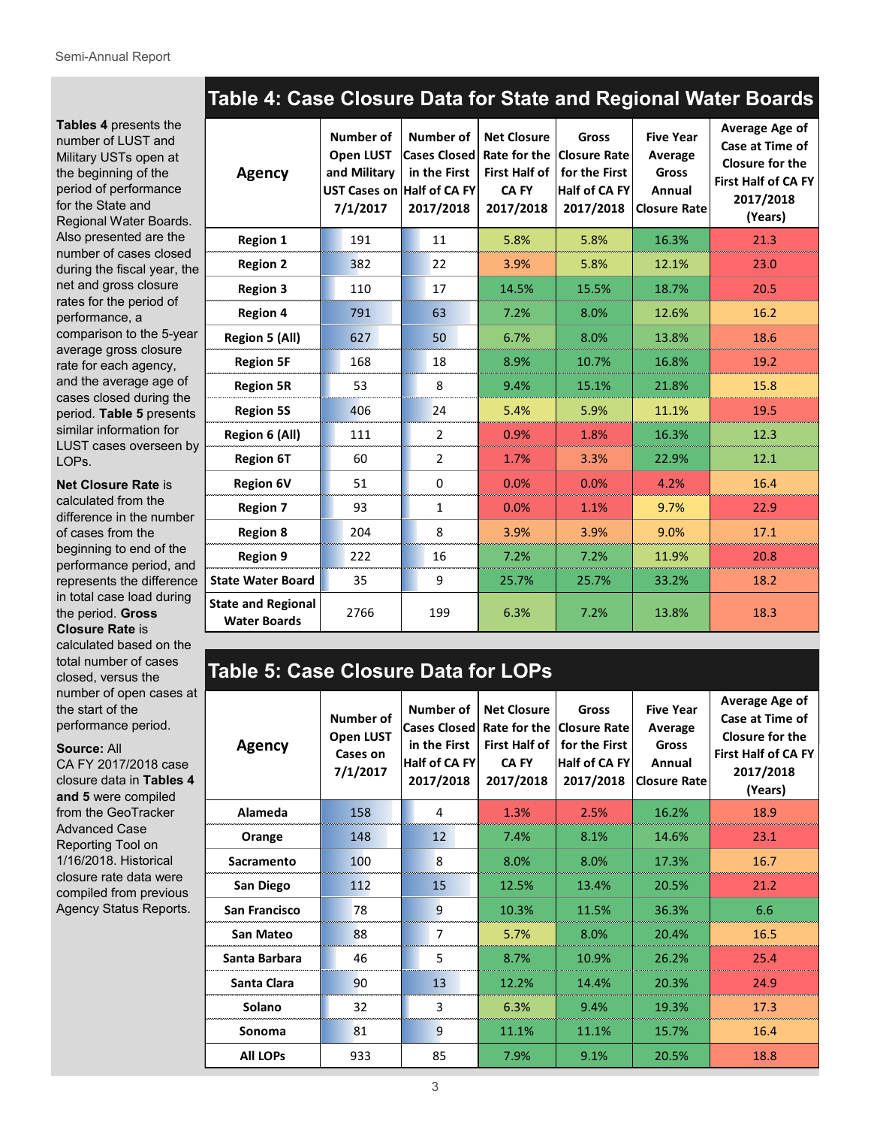**Tables 4** presents the number of LUST and Military USTs open at the beginning of the period of performance for the State and Regional Water Boards. Also presented are the number of cases closed during the fiscal year, the net and gross closure rates for the period of performance, a comparison to the 5-year average gross closure rate for each agency, and the average age of cases closed during the period. **Table 5** presents similar information for LUST cases overseen by LOPs.

**Net Closure Rate** is

calculated from the difference in the number of cases from the beginning to end of the performance period, and represents the difference in total case load during the period. **Gross Closure Rate** is calculated based on the

total number of cases closed, versus the number of open cases at the start of the performance period.

**Source:** All

CA FY 2017/2018 case closure data in **Tables 4 and 5** were compiled from the GeoTracker Advanced Case Reporting Tool on 1/16/2018. Historical closure rate data were compiled from previous Agency Status Reports.

| Table 4: Case Closure Data for State and Regional Water Boards |                                     |                                                                                                                                             |                             |                                                             |
|----------------------------------------------------------------|-------------------------------------|---------------------------------------------------------------------------------------------------------------------------------------------|-----------------------------|-------------------------------------------------------------|
|                                                                | Number of   Number of   Net Closure | <b>Gross</b><br>Open LUST Cases Closed Rate for the Closure Rate<br>المنافع والمنافر المتمر والمتمر والمستحيل والمستحدث والمستحدث والمستحدث | <b>Five Year</b><br>Average | Average Age of<br>Case at Time of<br><b>Closure for the</b> |

| <b>Agency</b>                                    | <b>Open LUST</b><br>and Military<br>7/1/2017 | in the First<br>UST Cases on Half of CA FY<br>2017/2018 | <b>First Half of</b><br><b>CAFY</b><br>2017/2018 | Cases Closed Rate for the Closure Rate<br>for the First<br><b>Half of CA FY</b><br>2017/2018 | Average<br><b>Gross</b><br>Annual<br><b>Closure Rate</b> | Closure for the<br><b>First Half of CA FY</b><br>2017/2018<br>(Years) |
|--------------------------------------------------|----------------------------------------------|---------------------------------------------------------|--------------------------------------------------|----------------------------------------------------------------------------------------------|----------------------------------------------------------|-----------------------------------------------------------------------|
| <b>Region 1</b>                                  | 191                                          | 11                                                      | 5.8%                                             | 5.8%                                                                                         | 16.3%                                                    | 21.3                                                                  |
| <b>Region 2</b>                                  | 382                                          | 22                                                      | 3.9%                                             | 5.8%                                                                                         | 12.1%                                                    | 23.0                                                                  |
| <b>Region 3</b>                                  | 110                                          | 17                                                      | 14.5%                                            | 15.5%                                                                                        | 18.7%                                                    | 20.5                                                                  |
| <b>Region 4</b>                                  | 791                                          | 63                                                      | 7.2%                                             | 8.0%                                                                                         | 12.6%                                                    | 16.2                                                                  |
| Region 5 (All)                                   | 627                                          | 50                                                      | 6.7%                                             | 8.0%                                                                                         | 13.8%                                                    | 18.6                                                                  |
| <b>Region 5F</b>                                 | 168                                          | 18                                                      | 8.9%                                             | 10.7%                                                                                        | 16.8%                                                    | 19.2                                                                  |
| <b>Region 5R</b>                                 | 53                                           | 8                                                       | 9.4%                                             | 15.1%                                                                                        | 21.8%                                                    | 15.8                                                                  |
| <b>Region 5S</b>                                 | 406                                          | 24                                                      | 5.4%                                             | 5.9%                                                                                         | 11.1%                                                    | 19.5                                                                  |
| Region 6 (All)                                   | 111                                          | $\overline{2}$                                          | 0.9%                                             | 1.8%                                                                                         | 16.3%                                                    | 12.3                                                                  |
| <b>Region 6T</b>                                 | 60                                           | $\overline{2}$                                          | 1.7%                                             | 3.3%                                                                                         | 22.9%                                                    | 12.1                                                                  |
| <b>Region 6V</b>                                 | 51                                           | 0                                                       | 0.0%                                             | 0.0%                                                                                         | 4.2%                                                     | 16.4                                                                  |
| <b>Region 7</b>                                  | 93                                           | $\mathbf{1}$                                            | 0.0%                                             | 1.1%                                                                                         | 9.7%                                                     | 22.9                                                                  |
| <b>Region 8</b>                                  | 204                                          | 8                                                       | 3.9%                                             | 3.9%                                                                                         | 9.0%                                                     | 17.1                                                                  |
| <b>Region 9</b>                                  | 222                                          | 16                                                      | 7.2%                                             | 7.2%                                                                                         | 11.9%                                                    | 20.8                                                                  |
| <b>State Water Board</b>                         | 35                                           | 9                                                       | 25.7%                                            | 25.7%                                                                                        | 33.2%                                                    | 18.2                                                                  |
| <b>State and Regional</b><br><b>Water Boards</b> | 2766                                         | 199                                                     | 6.3%                                             | 7.2%                                                                                         | 13.8%                                                    | 18.3                                                                  |

# **Table 5: Case Closure Data for LOPs**

| <b>Agency</b>    | Number of<br>Open LUST<br>Cases on<br>7/1/2017 | Number of<br><b>Cases Closed</b><br>in the First<br>Half of CA FY<br>2017/2018 | <b>Net Closure</b><br>Rate for the<br><b>First Half of</b><br><b>CAFY</b><br>2017/2018 | Gross<br><b>Closure Rate</b><br>for the First<br>Half of CA FY<br>2017/2018 | <b>Five Year</b><br>Average<br>Gross<br>Annual<br><b>Closure Rate</b> | Average Age of<br>Case at Time of<br>Closure for the<br><b>First Half of CA FY</b><br>2017/2018<br>(Years) |
|------------------|------------------------------------------------|--------------------------------------------------------------------------------|----------------------------------------------------------------------------------------|-----------------------------------------------------------------------------|-----------------------------------------------------------------------|------------------------------------------------------------------------------------------------------------|
| Alameda          | 158                                            | 4                                                                              | 1.3%                                                                                   | 2.5%                                                                        | 16.2%                                                                 | 18.9                                                                                                       |
| Orange           | 148                                            | 12                                                                             | 7.4%                                                                                   | 8.1%                                                                        | 14.6%                                                                 | 23.1                                                                                                       |
| Sacramento       | 100                                            | 8                                                                              | 8.0%                                                                                   | 8.0%                                                                        | 17.3%                                                                 | 16.7                                                                                                       |
| San Diego        | 112                                            | 15                                                                             | 12.5%                                                                                  | 13.4%                                                                       | 20.5%                                                                 | 21.2                                                                                                       |
| San Francisco    | 78                                             | 9                                                                              | 10.3%                                                                                  | 11.5%                                                                       | 36.3%                                                                 | 6.6                                                                                                        |
| <b>San Mateo</b> | 88                                             | $\overline{7}$                                                                 | 5.7%<br>8.0%                                                                           |                                                                             | 20.4%                                                                 | 16.5                                                                                                       |
| Santa Barbara    | 46                                             | 5                                                                              | 8.7%                                                                                   | 10.9%                                                                       | 26.2%                                                                 | 25.4                                                                                                       |
| Santa Clara      | 90                                             | 13                                                                             | 12.2%                                                                                  | 14.4%                                                                       | 20.3%                                                                 | 24.9                                                                                                       |
| Solano           | 32                                             | 3                                                                              | 6.3%                                                                                   | 9.4%                                                                        | 19.3%                                                                 | 17.3                                                                                                       |
| Sonoma           | 81                                             | 9                                                                              | 11.1%                                                                                  | 11.1%                                                                       | 15.7%                                                                 | 16.4                                                                                                       |
| <b>All LOPS</b>  | 933                                            | 85                                                                             | 7.9%                                                                                   | 9.1%                                                                        | 20.5%                                                                 | 18.8                                                                                                       |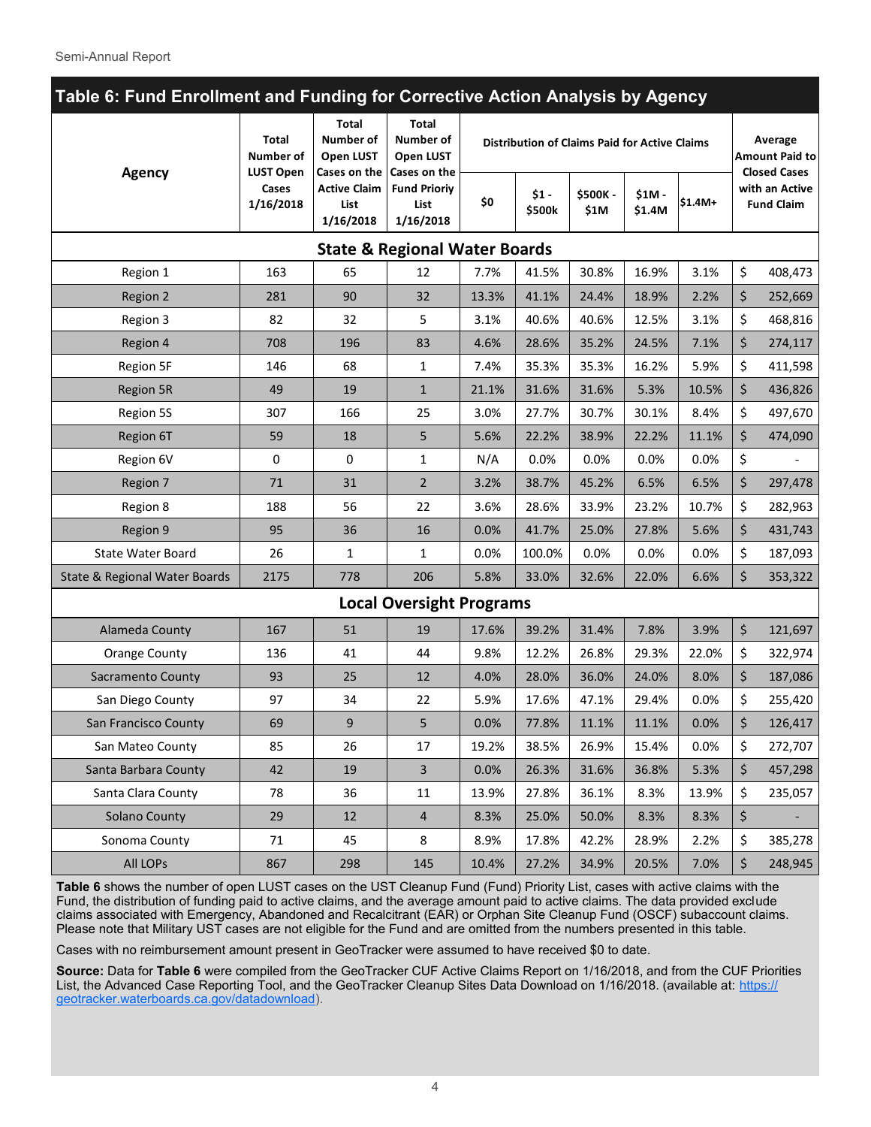| Table 6: Fund Enrollment and Funding for Corrective Action Analysis by Agency |                                        |                                                          |                                                          |       |                                                      |                 |                   |          |                                                         |                                     |
|-------------------------------------------------------------------------------|----------------------------------------|----------------------------------------------------------|----------------------------------------------------------|-------|------------------------------------------------------|-----------------|-------------------|----------|---------------------------------------------------------|-------------------------------------|
|                                                                               | <b>Total</b><br>Number of              | Total<br><b>Number of</b><br><b>Open LUST</b>            | Total<br>Number of<br>Open LUST                          |       | <b>Distribution of Claims Paid for Active Claims</b> |                 |                   |          | Average<br><b>Amount Paid to</b><br><b>Closed Cases</b> |                                     |
| <b>Agency</b>                                                                 | <b>LUST Open</b><br>Cases<br>1/16/2018 | Cases on the<br><b>Active Claim</b><br>List<br>1/16/2018 | Cases on the<br><b>Fund Prioriy</b><br>List<br>1/16/2018 | \$0   | $$1 -$<br>\$500k                                     | \$500K-<br>\$1M | $$1M -$<br>\$1.4M | $$1.4M+$ |                                                         | with an Active<br><b>Fund Claim</b> |
|                                                                               |                                        |                                                          | <b>State &amp; Regional Water Boards</b>                 |       |                                                      |                 |                   |          |                                                         |                                     |
| Region 1                                                                      | 163                                    | 65                                                       | 12                                                       | 7.7%  | 41.5%                                                | 30.8%           | 16.9%             | 3.1%     | \$                                                      | 408,473                             |
| Region 2                                                                      | 281                                    | 90                                                       | 32                                                       | 13.3% | 41.1%                                                | 24.4%           | 18.9%             | 2.2%     | \$                                                      | 252,669                             |
| Region 3                                                                      | 82                                     | 32                                                       | 5                                                        | 3.1%  | 40.6%                                                | 40.6%           | 12.5%             | 3.1%     | \$                                                      | 468,816                             |
| Region 4                                                                      | 708                                    | 196                                                      | 83                                                       | 4.6%  | 28.6%                                                | 35.2%           | 24.5%             | 7.1%     | \$                                                      | 274,117                             |
| Region 5F                                                                     | 146                                    | 68                                                       | 1                                                        | 7.4%  | 35.3%                                                | 35.3%           | 16.2%             | 5.9%     | \$                                                      | 411,598                             |
| <b>Region 5R</b>                                                              | 49                                     | 19                                                       | $\mathbf{1}$                                             | 21.1% | 31.6%                                                | 31.6%           | 5.3%              | 10.5%    | \$                                                      | 436,826                             |
| Region 5S                                                                     | 307                                    | 166                                                      | 25                                                       | 3.0%  | 27.7%                                                | 30.7%           | 30.1%             | 8.4%     | \$                                                      | 497,670                             |
| Region 6T                                                                     | 59                                     | 18                                                       | 5                                                        | 5.6%  | 22.2%                                                | 38.9%           | 22.2%             | 11.1%    | \$                                                      | 474,090                             |
| Region 6V                                                                     | 0                                      | 0                                                        | 1                                                        | N/A   | 0.0%                                                 | 0.0%            | 0.0%              | 0.0%     | \$                                                      |                                     |
| Region 7                                                                      | 71                                     | 31                                                       | $\overline{2}$                                           | 3.2%  | 38.7%                                                | 45.2%           | 6.5%              | 6.5%     | \$                                                      | 297,478                             |
| Region 8                                                                      | 188                                    | 56                                                       | 22                                                       | 3.6%  | 28.6%                                                | 33.9%           | 23.2%             | 10.7%    | \$                                                      | 282,963                             |
| Region 9                                                                      | 95                                     | 36                                                       | 16                                                       | 0.0%  | 41.7%                                                | 25.0%           | 27.8%             | 5.6%     | \$                                                      | 431,743                             |
| <b>State Water Board</b>                                                      | 26                                     | 1                                                        | 1                                                        | 0.0%  | 100.0%                                               | 0.0%            | 0.0%              | 0.0%     | \$                                                      | 187,093                             |
| State & Regional Water Boards                                                 | 2175                                   | 778                                                      | 206                                                      | 5.8%  | 33.0%                                                | 32.6%           | 22.0%             | 6.6%     | \$                                                      | 353,322                             |
|                                                                               |                                        |                                                          | <b>Local Oversight Programs</b>                          |       |                                                      |                 |                   |          |                                                         |                                     |
| Alameda County                                                                | 167                                    | 51                                                       | 19                                                       | 17.6% | 39.2%                                                | 31.4%           | 7.8%              | 3.9%     | \$                                                      | 121,697                             |
| <b>Orange County</b>                                                          | 136                                    | 41                                                       | 44                                                       | 9.8%  | 12.2%                                                | 26.8%           | 29.3%             | 22.0%    | \$                                                      | 322,974                             |
| Sacramento County                                                             | 93                                     | 25                                                       | 12                                                       | 4.0%  | 28.0%                                                | 36.0%           | 24.0%             | 8.0%     | \$                                                      | 187,086                             |
| San Diego County                                                              | 97                                     | 34                                                       | 22                                                       | 5.9%  | 17.6%                                                | 47.1%           | 29.4%             | 0.0%     | \$                                                      | 255,420                             |
| San Francisco County                                                          | 69                                     | 9                                                        | 5                                                        | 0.0%  | 77.8%                                                | 11.1%           | 11.1%             | 0.0%     | \$                                                      | 126,417                             |
| San Mateo County                                                              | 85                                     | 26                                                       | 17                                                       | 19.2% | 38.5%                                                | 26.9%           | 15.4%             | 0.0%     | \$                                                      | 272,707                             |
| Santa Barbara County                                                          | 42                                     | 19                                                       | $\overline{3}$                                           | 0.0%  | 26.3%                                                | 31.6%           | 36.8%             | 5.3%     | \$                                                      | 457,298                             |
| Santa Clara County                                                            | 78                                     | 36                                                       | 11                                                       | 13.9% | 27.8%                                                | 36.1%           | 8.3%              | 13.9%    | \$                                                      | 235,057                             |
| <b>Solano County</b>                                                          | 29                                     | 12                                                       | 4                                                        | 8.3%  | 25.0%                                                | 50.0%           | 8.3%              | 8.3%     | \$                                                      |                                     |
| Sonoma County                                                                 | 71                                     | 45                                                       | 8                                                        | 8.9%  | 17.8%                                                | 42.2%           | 28.9%             | 2.2%     | \$                                                      | 385,278                             |
| All LOPs                                                                      | 867                                    | 298                                                      | 145                                                      | 10.4% | 27.2%                                                | 34.9%           | 20.5%             | 7.0%     | \$                                                      | 248,945                             |

**Table 6** shows the number of open LUST cases on the UST Cleanup Fund (Fund) Priority List, cases with active claims with the Fund, the distribution of funding paid to active claims, and the average amount paid to active claims. The data provided exclude claims associated with Emergency, Abandoned and Recalcitrant (EAR) or Orphan Site Cleanup Fund (OSCF) subaccount claims. Please note that Military UST cases are not eligible for the Fund and are omitted from the numbers presented in this table.

Cases with no reimbursement amount present in GeoTracker were assumed to have received \$0 to date.

**Source:** Data for **Table 6** were compiled from the GeoTracker CUF Active Claims Report on 1/16/2018, and from the CUF Priorities List, the Advanced Case Reporting Tool, and the GeoTracker Cleanup Sites Data Download on 1/16/2018. (available at: [https://](https://geotracker.waterboards.ca.gov/datadownload) [geotracker.waterboards.ca.gov/datadownload\).](https://geotracker.waterboards.ca.gov/datadownload)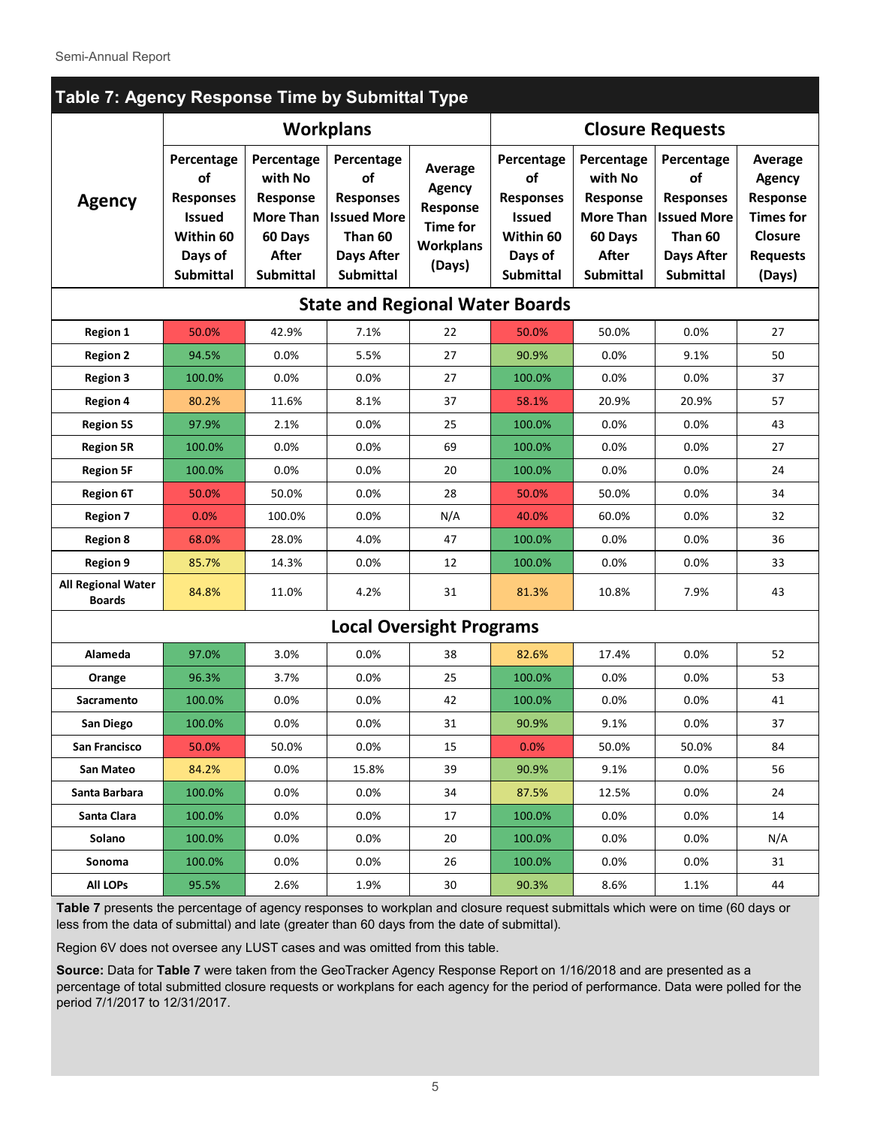| Table 7: Agency Response Time by Submittal Type |                                                                                                   |                                                                                               |                                                                                                                                                                                                  |                                 |                                                                                                   |                                                                                               |                                                                                                         |                                                                                                  |  |  |  |
|-------------------------------------------------|---------------------------------------------------------------------------------------------------|-----------------------------------------------------------------------------------------------|--------------------------------------------------------------------------------------------------------------------------------------------------------------------------------------------------|---------------------------------|---------------------------------------------------------------------------------------------------|-----------------------------------------------------------------------------------------------|---------------------------------------------------------------------------------------------------------|--------------------------------------------------------------------------------------------------|--|--|--|
|                                                 |                                                                                                   |                                                                                               | <b>Workplans</b>                                                                                                                                                                                 | <b>Closure Requests</b>         |                                                                                                   |                                                                                               |                                                                                                         |                                                                                                  |  |  |  |
| <b>Agency</b>                                   | Percentage<br>of<br><b>Responses</b><br><b>Issued</b><br>Within 60<br>Days of<br><b>Submittal</b> | Percentage<br>with No<br>Response<br><b>More Than</b><br>60 Days<br><b>After</b><br>Submittal | Percentage<br>Average<br>of<br><b>Agency</b><br><b>Responses</b><br>Response<br><b>Issued More</b><br><b>Time for</b><br>Than 60<br><b>Workplans</b><br>Days After<br>(Days)<br><b>Submittal</b> |                                 | Percentage<br>of<br><b>Responses</b><br><b>Issued</b><br>Within 60<br>Days of<br><b>Submittal</b> | Percentage<br>with No<br>Response<br><b>More Than</b><br>60 Days<br>After<br><b>Submittal</b> | Percentage<br>of<br><b>Responses</b><br><b>Issued More</b><br>Than 60<br><b>Days After</b><br>Submittal | Average<br><b>Agency</b><br>Response<br><b>Times for</b><br>Closure<br><b>Requests</b><br>(Days) |  |  |  |
|                                                 |                                                                                                   |                                                                                               | <b>State and Regional Water Boards</b>                                                                                                                                                           |                                 |                                                                                                   |                                                                                               |                                                                                                         |                                                                                                  |  |  |  |
| <b>Region 1</b>                                 | 50.0%                                                                                             | 42.9%                                                                                         | 7.1%                                                                                                                                                                                             | 22                              | 50.0%                                                                                             | 50.0%                                                                                         | 0.0%                                                                                                    | 27                                                                                               |  |  |  |
| <b>Region 2</b>                                 | 94.5%                                                                                             | 0.0%                                                                                          | 5.5%                                                                                                                                                                                             | 27                              | 90.9%                                                                                             | 0.0%                                                                                          | 9.1%                                                                                                    | 50                                                                                               |  |  |  |
| <b>Region 3</b>                                 | 100.0%                                                                                            | 0.0%                                                                                          | 0.0%                                                                                                                                                                                             | 27                              | 100.0%                                                                                            | 0.0%                                                                                          | 0.0%                                                                                                    | 37                                                                                               |  |  |  |
| <b>Region 4</b>                                 | 80.2%                                                                                             | 11.6%                                                                                         | 8.1%                                                                                                                                                                                             | 37                              | 58.1%                                                                                             | 20.9%                                                                                         | 20.9%                                                                                                   | 57                                                                                               |  |  |  |
| <b>Region 5S</b>                                | 97.9%                                                                                             | 2.1%                                                                                          | 0.0%                                                                                                                                                                                             | 25                              | 100.0%                                                                                            | 0.0%                                                                                          | 0.0%                                                                                                    | 43                                                                                               |  |  |  |
| <b>Region 5R</b>                                | 100.0%                                                                                            | 0.0%                                                                                          | 0.0%                                                                                                                                                                                             | 69                              | 100.0%                                                                                            | 0.0%                                                                                          | 0.0%                                                                                                    | 27                                                                                               |  |  |  |
| <b>Region 5F</b>                                | 100.0%                                                                                            | 0.0%                                                                                          | 0.0%                                                                                                                                                                                             | 20                              | 100.0%                                                                                            | 0.0%                                                                                          | 0.0%                                                                                                    | 24                                                                                               |  |  |  |
| <b>Region 6T</b>                                | 50.0%                                                                                             | 50.0%                                                                                         | 0.0%                                                                                                                                                                                             | 28                              | 50.0%                                                                                             | 50.0%                                                                                         | 0.0%                                                                                                    | 34                                                                                               |  |  |  |
| <b>Region 7</b>                                 | 0.0%                                                                                              | 100.0%                                                                                        | $0.0\%$                                                                                                                                                                                          | N/A                             | 40.0%                                                                                             | 60.0%                                                                                         | 0.0%                                                                                                    | 32                                                                                               |  |  |  |
| <b>Region 8</b>                                 | 68.0%                                                                                             | 28.0%                                                                                         | 4.0%                                                                                                                                                                                             | 47                              | 100.0%                                                                                            | 0.0%                                                                                          | 0.0%                                                                                                    | 36                                                                                               |  |  |  |
| <b>Region 9</b>                                 | 85.7%                                                                                             | 14.3%                                                                                         | $0.0\%$                                                                                                                                                                                          | 12                              | 100.0%                                                                                            | 0.0%                                                                                          | 0.0%                                                                                                    | 33                                                                                               |  |  |  |
| <b>All Regional Water</b><br><b>Boards</b>      | 84.8%                                                                                             | 11.0%                                                                                         | 4.2%                                                                                                                                                                                             | 31                              | 81.3%                                                                                             | 10.8%                                                                                         | 7.9%                                                                                                    | 43                                                                                               |  |  |  |
|                                                 |                                                                                                   |                                                                                               |                                                                                                                                                                                                  | <b>Local Oversight Programs</b> |                                                                                                   |                                                                                               |                                                                                                         |                                                                                                  |  |  |  |
| Alameda                                         | 97.0%                                                                                             | 3.0%                                                                                          | $0.0\%$                                                                                                                                                                                          | 38                              | 82.6%                                                                                             | 17.4%                                                                                         | 0.0%                                                                                                    | 52                                                                                               |  |  |  |
| Orange                                          | 96.3%                                                                                             | 3.7%                                                                                          | $0.0\%$                                                                                                                                                                                          | 25                              | 100.0%                                                                                            | 0.0%                                                                                          | 0.0%                                                                                                    | 53                                                                                               |  |  |  |
| Sacramento                                      | 100.0%                                                                                            | 0.0%                                                                                          | 0.0%                                                                                                                                                                                             | 42                              | 100.0%                                                                                            | 0.0%                                                                                          | 0.0%                                                                                                    | 41                                                                                               |  |  |  |
| San Diego                                       | 100.0%                                                                                            | 0.0%                                                                                          | 0.0%                                                                                                                                                                                             | 31                              | 90.9%                                                                                             | 9.1%                                                                                          | 0.0%                                                                                                    | 37                                                                                               |  |  |  |
| <b>San Francisco</b>                            | 50.0%                                                                                             | 50.0%                                                                                         | 0.0%                                                                                                                                                                                             | 15                              | 0.0%                                                                                              | 50.0%                                                                                         | 50.0%                                                                                                   | 84                                                                                               |  |  |  |
| San Mateo                                       | 84.2%                                                                                             | $0.0\%$                                                                                       | 15.8%                                                                                                                                                                                            | 39                              | 90.9%                                                                                             | 9.1%                                                                                          | 0.0%                                                                                                    | 56                                                                                               |  |  |  |
| Santa Barbara                                   | 100.0%                                                                                            | $0.0\%$                                                                                       | 0.0%                                                                                                                                                                                             | 34                              | 87.5%                                                                                             | 12.5%                                                                                         | 0.0%                                                                                                    | 24                                                                                               |  |  |  |
| Santa Clara                                     | 100.0%                                                                                            | $0.0\%$                                                                                       | 0.0%                                                                                                                                                                                             | 17                              | 100.0%                                                                                            | 0.0%                                                                                          | 0.0%                                                                                                    | 14                                                                                               |  |  |  |
| Solano                                          | 100.0%                                                                                            | $0.0\%$                                                                                       | $0.0\%$                                                                                                                                                                                          | 20                              | 100.0%                                                                                            | $0.0\%$                                                                                       | $0.0\%$                                                                                                 | N/A                                                                                              |  |  |  |
| Sonoma                                          | 100.0%                                                                                            | $0.0\%$                                                                                       | 0.0%                                                                                                                                                                                             | 26                              | 100.0%                                                                                            | 0.0%                                                                                          | 0.0%                                                                                                    | 31                                                                                               |  |  |  |
| <b>All LOPs</b>                                 | 95.5%                                                                                             | 2.6%                                                                                          | 1.9%                                                                                                                                                                                             | 30                              | 90.3%                                                                                             | 8.6%                                                                                          | 1.1%                                                                                                    | 44                                                                                               |  |  |  |

**Table 7** presents the percentage of agency responses to workplan and closure request submittals which were on time (60 days or less from the data of submittal) and late (greater than 60 days from the date of submittal).

Region 6V does not oversee any LUST cases and was omitted from this table.

**Source:** Data for **Table 7** were taken from the GeoTracker Agency Response Report on 1/16/2018 and are presented as a percentage of total submitted closure requests or workplans for each agency for the period of performance. Data were polled for the period 7/1/2017 to 12/31/2017.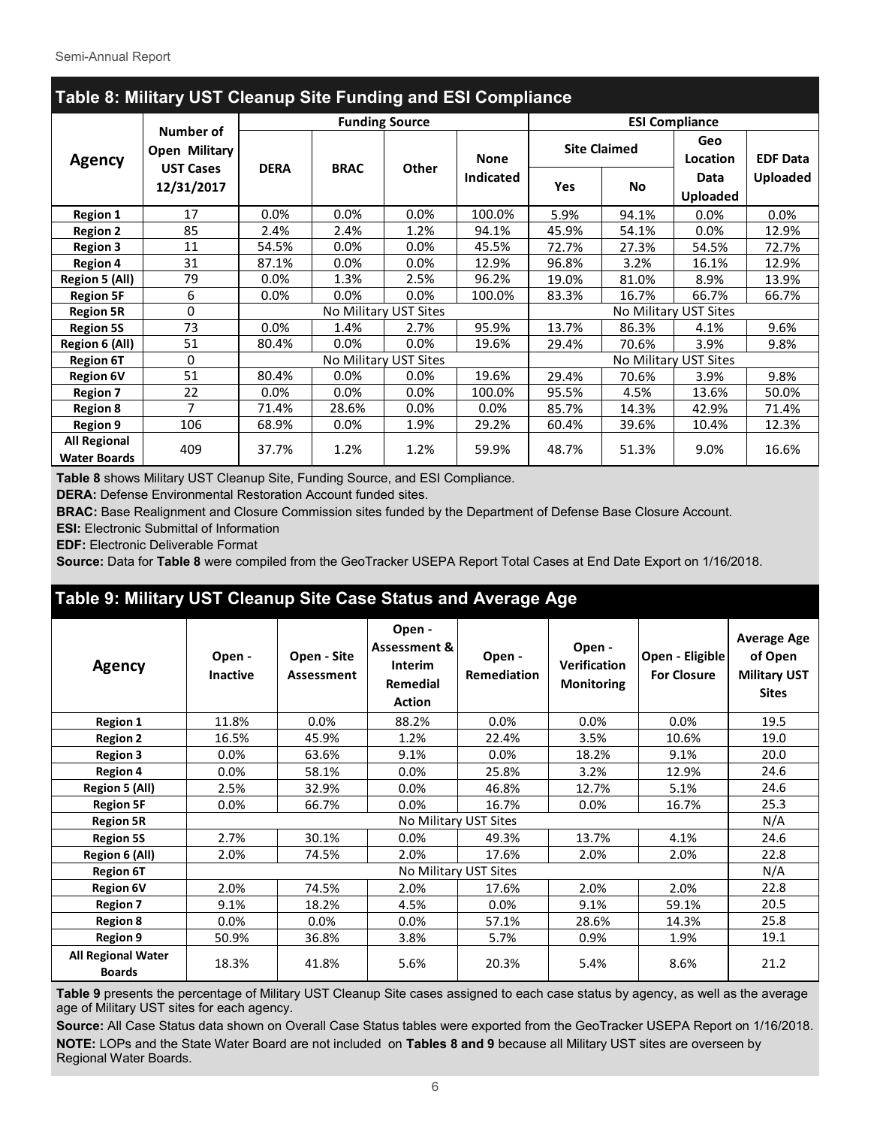| Table 8: Military UST Cleanup Site Funding and ESI Compliance |                                                |             |                       |                       |                                 |                     |                       |                         |                 |  |
|---------------------------------------------------------------|------------------------------------------------|-------------|-----------------------|-----------------------|---------------------------------|---------------------|-----------------------|-------------------------|-----------------|--|
|                                                               |                                                |             | <b>Funding Source</b> |                       |                                 |                     | <b>ESI Compliance</b> |                         |                 |  |
| <b>Agency</b>                                                 | Number of<br>Open Military<br><b>UST Cases</b> | <b>DERA</b> |                       | <b>Other</b>          | <b>None</b><br><b>Indicated</b> | <b>Site Claimed</b> |                       | Geo<br>Location         | <b>EDF Data</b> |  |
|                                                               | 12/31/2017                                     |             | <b>BRAC</b>           |                       |                                 | <b>Yes</b>          | <b>No</b>             | Data<br><b>Uploaded</b> | <b>Uploaded</b> |  |
| <b>Region 1</b>                                               | 17                                             | 0.0%        | 0.0%                  | 0.0%                  | 100.0%                          | 5.9%                | 94.1%                 | 0.0%                    | 0.0%            |  |
| <b>Region 2</b>                                               | 85                                             | 2.4%        | 2.4%                  | 1.2%                  | 94.1%                           | 45.9%               | 54.1%                 | 0.0%                    | 12.9%           |  |
| <b>Region 3</b>                                               | 11                                             | 54.5%       | $0.0\%$               | 0.0%                  | 45.5%                           | 72.7%               | 27.3%                 | 54.5%                   | 72.7%           |  |
| <b>Region 4</b>                                               | 31                                             | 87.1%       | $0.0\%$               | 0.0%                  | 12.9%                           | 96.8%               | 3.2%                  | 16.1%                   | 12.9%           |  |
| <b>Region 5 (All)</b>                                         | 79                                             | $0.0\%$     | 1.3%                  | 2.5%                  | 96.2%                           | 19.0%               | 81.0%                 | 8.9%                    | 13.9%           |  |
| <b>Region 5F</b>                                              | 6                                              | $0.0\%$     | 0.0%                  | 0.0%                  | 100.0%                          | 83.3%               | 16.7%                 | 66.7%                   | 66.7%           |  |
| <b>Region 5R</b>                                              | 0                                              |             |                       | No Military UST Sites |                                 |                     |                       | No Military UST Sites   |                 |  |
| <b>Region 5S</b>                                              | 73                                             | 0.0%        | 1.4%                  | 2.7%                  | 95.9%                           | 13.7%               | 86.3%                 | 4.1%                    | 9.6%            |  |
| Region 6 (All)                                                | 51                                             | 80.4%       | 0.0%                  | 0.0%                  | 19.6%                           | 29.4%               | 70.6%                 | 3.9%                    | 9.8%            |  |
| <b>Region 6T</b>                                              | 0                                              |             | No Military UST Sites |                       |                                 |                     |                       | No Military UST Sites   |                 |  |
| <b>Region 6V</b>                                              | 51                                             | 80.4%       | 0.0%                  | 0.0%                  | 19.6%                           | 29.4%               | 70.6%                 | 3.9%                    | 9.8%            |  |
| <b>Region 7</b>                                               | 22                                             | 0.0%        | 0.0%                  | 0.0%                  | 100.0%                          | 95.5%               | 4.5%                  | 13.6%                   | 50.0%           |  |
| <b>Region 8</b>                                               | 7                                              | 71.4%       | 28.6%                 | 0.0%                  | $0.0\%$                         | 85.7%               | 14.3%                 | 42.9%                   | 71.4%           |  |
| <b>Region 9</b>                                               | 106                                            | 68.9%       | $0.0\%$               | 1.9%                  | 29.2%                           | 60.4%               | 39.6%                 | 10.4%                   | 12.3%           |  |
| <b>All Regional</b><br><b>Water Boards</b>                    | 409                                            | 37.7%       | 1.2%                  | 1.2%                  | 59.9%                           | 48.7%               | 51.3%                 | 9.0%                    | 16.6%           |  |

**Table 8** shows Military UST Cleanup Site, Funding Source, and ESI Compliance.

**DERA:** Defense Environmental Restoration Account funded sites.

**BRAC:** Base Realignment and Closure Commission sites funded by the Department of Defense Base Closure Account.

**ESI:** Electronic Submittal of Information

**EDF:** Electronic Deliverable Format

**Source:** Data for **Table 8** were compiled from the GeoTracker USEPA Report Total Cases at End Date Export on 1/16/2018.

# **Table 9: Military UST Cleanup Site Case Status and Average Age**

| <b>Agency</b>                              | Open -<br><b>Inactive</b> | Open - Site<br>Assessment | Open -<br><b>Assessment &amp;</b><br><b>Interim</b><br>Remedial<br><b>Action</b> | Open -<br>Open -<br><b>Verification</b><br><b>Remediation</b><br><b>Monitoring</b> |         | Open - Eligible<br><b>For Closure</b> | <b>Average Age</b><br>of Open<br><b>Military UST</b><br><b>Sites</b> |
|--------------------------------------------|---------------------------|---------------------------|----------------------------------------------------------------------------------|------------------------------------------------------------------------------------|---------|---------------------------------------|----------------------------------------------------------------------|
| <b>Region 1</b>                            | 11.8%                     | 0.0%                      | 88.2%                                                                            | $0.0\%$                                                                            | $0.0\%$ | $0.0\%$                               | 19.5                                                                 |
| <b>Region 2</b>                            | 16.5%                     | 45.9%                     | 1.2%                                                                             | 22.4%                                                                              | 3.5%    | 10.6%                                 | 19.0                                                                 |
| <b>Region 3</b>                            | $0.0\%$                   | 63.6%                     | 9.1%                                                                             | $0.0\%$                                                                            | 18.2%   | 9.1%                                  | 20.0                                                                 |
| <b>Region 4</b>                            | $0.0\%$                   | 58.1%                     | $0.0\%$                                                                          | 25.8%                                                                              | 3.2%    | 12.9%                                 | 24.6                                                                 |
| <b>Region 5 (All)</b>                      | 2.5%                      | 32.9%                     | $0.0\%$                                                                          | 46.8%                                                                              | 12.7%   | 5.1%                                  | 24.6                                                                 |
| <b>Region 5F</b>                           | 0.0%                      | 66.7%                     | 0.0%                                                                             | 16.7%                                                                              | $0.0\%$ | 16.7%                                 | 25.3                                                                 |
| <b>Region 5R</b>                           |                           |                           |                                                                                  | No Military UST Sites                                                              |         |                                       | N/A                                                                  |
| <b>Region 5S</b>                           | 2.7%                      | 30.1%                     | 0.0%                                                                             | 49.3%                                                                              | 13.7%   | 4.1%                                  | 24.6                                                                 |
| Region 6 (All)                             | 2.0%                      | 74.5%                     | 2.0%                                                                             | 17.6%                                                                              | 2.0%    | 2.0%                                  | 22.8                                                                 |
| <b>Region 6T</b>                           |                           |                           |                                                                                  | No Military UST Sites                                                              |         |                                       | N/A                                                                  |
| <b>Region 6V</b>                           | 2.0%                      | 74.5%                     | 2.0%                                                                             | 17.6%                                                                              | 2.0%    | 2.0%                                  | 22.8                                                                 |
| <b>Region 7</b>                            | 9.1%                      | 18.2%                     | 4.5%                                                                             | 0.0%                                                                               | 9.1%    | 59.1%                                 | 20.5                                                                 |
| <b>Region 8</b>                            | $0.0\%$                   | $0.0\%$                   | $0.0\%$                                                                          | 57.1%                                                                              | 28.6%   | 14.3%                                 | 25.8                                                                 |
| <b>Region 9</b>                            | 50.9%                     | 36.8%                     | 3.8%                                                                             | 5.7%                                                                               | 0.9%    | 1.9%                                  | 19.1                                                                 |
| <b>All Regional Water</b><br><b>Boards</b> | 18.3%                     | 41.8%                     | 5.6%                                                                             | 20.3%                                                                              | 5.4%    | 8.6%                                  | 21.2                                                                 |

**Table 9** presents the percentage of Military UST Cleanup Site cases assigned to each case status by agency, as well as the average age of Military UST sites for each agency.

**Source:** All Case Status data shown on Overall Case Status tables were exported from the GeoTracker USEPA Report on 1/16/2018. **NOTE:** LOPs and the State Water Board are not included on **Tables 8 and 9** because all Military UST sites are overseen by Regional Water Boards.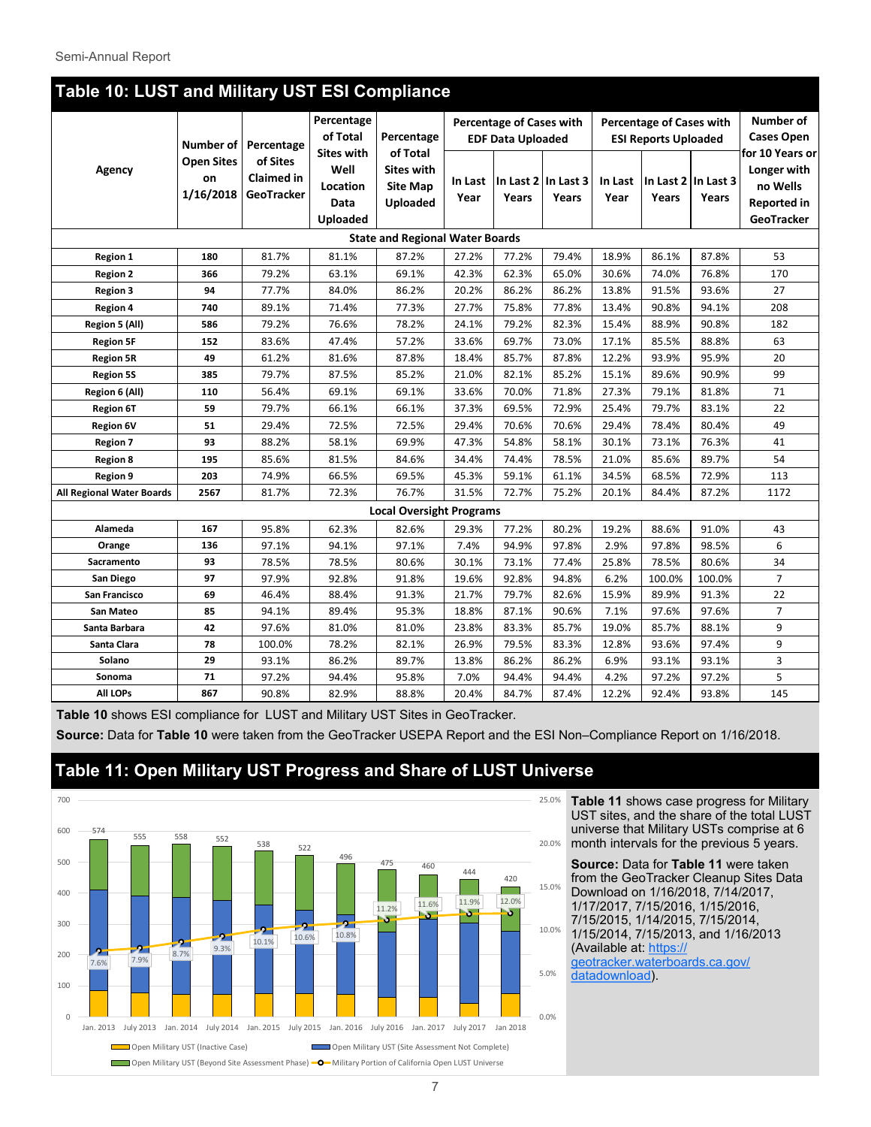|                                  | Table 10: LUST and Military UST ESI Compliance |                                             |                                             |                                                         |                 |                                                             |                              |                 |                                                                |        |                                                                                |
|----------------------------------|------------------------------------------------|---------------------------------------------|---------------------------------------------|---------------------------------------------------------|-----------------|-------------------------------------------------------------|------------------------------|-----------------|----------------------------------------------------------------|--------|--------------------------------------------------------------------------------|
|                                  | Number of                                      | Percentage                                  | Percentage<br>of Total<br><b>Sites with</b> | Percentage<br>of Total                                  |                 | <b>Percentage of Cases with</b><br><b>EDF Data Uploaded</b> |                              |                 | <b>Percentage of Cases with</b><br><b>ESI Reports Uploaded</b> |        | Number of<br><b>Cases Open</b>                                                 |
| Agency                           | <b>Open Sites</b><br>on<br>1/16/2018           | of Sites<br><b>Claimed in</b><br>GeoTracker | Well<br>Location<br>Data<br><b>Uploaded</b> | <b>Sites with</b><br><b>Site Map</b><br><b>Uploaded</b> | In Last<br>Year | Years                                                       | In Last 2 In Last 3<br>Years | In Last<br>Year | In Last $2 \mid$ In Last 3<br>Years                            | Years  | for 10 Years or<br>Longer with<br>no Wells<br><b>Reported in</b><br>GeoTracker |
|                                  |                                                |                                             |                                             | <b>State and Regional Water Boards</b>                  |                 |                                                             |                              |                 |                                                                |        |                                                                                |
| <b>Region 1</b>                  | 180                                            | 81.7%                                       | 81.1%                                       | 87.2%                                                   | 27.2%           | 77.2%                                                       | 79.4%                        | 18.9%           | 86.1%                                                          | 87.8%  | 53                                                                             |
| <b>Region 2</b>                  | 366                                            | 79.2%                                       | 63.1%                                       | 69.1%                                                   | 42.3%           | 62.3%                                                       | 65.0%                        | 30.6%           | 74.0%                                                          | 76.8%  | 170                                                                            |
| <b>Region 3</b>                  | 94                                             | 77.7%                                       | 84.0%                                       | 86.2%                                                   | 20.2%           | 86.2%                                                       | 86.2%                        | 13.8%           | 91.5%                                                          | 93.6%  | 27                                                                             |
| <b>Region 4</b>                  | 740                                            | 89.1%                                       | 71.4%                                       | 77.3%                                                   | 27.7%           | 75.8%                                                       | 77.8%                        | 13.4%           | 90.8%                                                          | 94.1%  | 208                                                                            |
| Region 5 (All)                   | 586                                            | 79.2%                                       | 76.6%                                       | 78.2%                                                   | 24.1%           | 79.2%                                                       | 82.3%                        | 15.4%           | 88.9%                                                          | 90.8%  | 182                                                                            |
| <b>Region 5F</b>                 | 152                                            | 83.6%                                       | 47.4%                                       | 57.2%                                                   | 33.6%           | 69.7%                                                       | 73.0%                        | 17.1%           | 85.5%                                                          | 88.8%  | 63                                                                             |
| <b>Region 5R</b>                 | 49                                             | 61.2%                                       | 81.6%                                       | 87.8%                                                   | 18.4%           | 85.7%                                                       | 87.8%                        | 12.2%           | 93.9%                                                          | 95.9%  | 20                                                                             |
| <b>Region 5S</b>                 | 385                                            | 79.7%                                       | 87.5%                                       | 85.2%                                                   | 21.0%           | 82.1%                                                       | 85.2%                        | 15.1%           | 89.6%                                                          | 90.9%  | 99                                                                             |
| Region 6 (All)                   | 110                                            | 56.4%                                       | 69.1%                                       | 69.1%                                                   | 33.6%           | 70.0%                                                       | 71.8%                        | 27.3%           | 79.1%                                                          | 81.8%  | 71                                                                             |
| <b>Region 6T</b>                 | 59                                             | 79.7%                                       | 66.1%                                       | 66.1%                                                   | 37.3%           | 69.5%                                                       | 72.9%                        | 25.4%           | 79.7%                                                          | 83.1%  | 22                                                                             |
| <b>Region 6V</b>                 | 51                                             | 29.4%                                       | 72.5%                                       | 72.5%                                                   | 29.4%           | 70.6%                                                       | 70.6%                        | 29.4%           | 78.4%                                                          | 80.4%  | 49                                                                             |
| <b>Region 7</b>                  | 93                                             | 88.2%                                       | 58.1%                                       | 69.9%                                                   | 47.3%           | 54.8%                                                       | 58.1%                        | 30.1%           | 73.1%                                                          | 76.3%  | 41                                                                             |
| <b>Region 8</b>                  | 195                                            | 85.6%                                       | 81.5%                                       | 84.6%                                                   | 34.4%           | 74.4%                                                       | 78.5%                        | 21.0%           | 85.6%                                                          | 89.7%  | 54                                                                             |
| <b>Region 9</b>                  | 203                                            | 74.9%                                       | 66.5%                                       | 69.5%                                                   | 45.3%           | 59.1%                                                       | 61.1%                        | 34.5%           | 68.5%                                                          | 72.9%  | 113                                                                            |
| <b>All Regional Water Boards</b> | 2567                                           | 81.7%                                       | 72.3%                                       | 76.7%                                                   | 31.5%           | 72.7%                                                       | 75.2%                        | 20.1%           | 84.4%                                                          | 87.2%  | 1172                                                                           |
|                                  |                                                |                                             |                                             | <b>Local Oversight Programs</b>                         |                 |                                                             |                              |                 |                                                                |        |                                                                                |
| Alameda                          | 167                                            | 95.8%                                       | 62.3%                                       | 82.6%                                                   | 29.3%           | 77.2%                                                       | 80.2%                        | 19.2%           | 88.6%                                                          | 91.0%  | 43                                                                             |
| Orange                           | 136                                            | 97.1%                                       | 94.1%                                       | 97.1%                                                   | 7.4%            | 94.9%                                                       | 97.8%                        | 2.9%            | 97.8%                                                          | 98.5%  | 6                                                                              |
| Sacramento                       | 93                                             | 78.5%                                       | 78.5%                                       | 80.6%                                                   | 30.1%           | 73.1%                                                       | 77.4%                        | 25.8%           | 78.5%                                                          | 80.6%  | 34                                                                             |
| San Diego                        | 97                                             | 97.9%                                       | 92.8%                                       | 91.8%                                                   | 19.6%           | 92.8%                                                       | 94.8%                        | 6.2%            | 100.0%                                                         | 100.0% | $\overline{7}$                                                                 |
| San Francisco                    | 69                                             | 46.4%                                       | 88.4%                                       | 91.3%                                                   | 21.7%           | 79.7%                                                       | 82.6%                        | 15.9%           | 89.9%                                                          | 91.3%  | 22                                                                             |
| San Mateo                        | 85                                             | 94.1%                                       | 89.4%                                       | 95.3%                                                   | 18.8%           | 87.1%                                                       | 90.6%                        | 7.1%            | 97.6%                                                          | 97.6%  | $\overline{7}$                                                                 |
| Santa Barbara                    | 42                                             | 97.6%                                       | 81.0%                                       | 81.0%                                                   | 23.8%           | 83.3%                                                       | 85.7%                        | 19.0%           | 85.7%                                                          | 88.1%  | 9                                                                              |
| Santa Clara                      | 78                                             | 100.0%                                      | 78.2%                                       | 82.1%                                                   | 26.9%           | 79.5%                                                       | 83.3%                        | 12.8%           | 93.6%                                                          | 97.4%  | 9                                                                              |
| Solano                           | 29                                             | 93.1%                                       | 86.2%                                       | 89.7%                                                   | 13.8%           | 86.2%                                                       | 86.2%                        | 6.9%            | 93.1%                                                          | 93.1%  | 3                                                                              |
| Sonoma                           | 71                                             | 97.2%                                       | 94.4%                                       | 95.8%                                                   | 7.0%            | 94.4%                                                       | 94.4%                        | 4.2%            | 97.2%                                                          | 97.2%  | 5                                                                              |
| <b>All LOPs</b>                  | 867                                            | 90.8%                                       | 82.9%                                       | 88.8%                                                   | 20.4%           | 84.7%                                                       | 87.4%                        | 12.2%           | 92.4%                                                          | 93.8%  | 145                                                                            |

#### Semi-Annual Report

**Table 10** shows ESI compliance for LUST and Military UST Sites in GeoTracker.

**Source:** Data for **Table 10** were taken from the GeoTracker USEPA Report and the ESI Non–Compliance Report on 1/16/2018.

## **Table 11: Open Military UST Progress and Share of LUST Universe**



**Table 11** shows case progress for Military UST sites, and the share of the total LUST universe that Military USTs comprise at 6 month intervals for the previous 5 years.

**Source:** Data for **Table 11** were taken from the GeoTracker Cleanup Sites Data Download on 1/16/2018, 7/14/2017, 1/17/2017, 7/15/2016, 1/15/2016, 7/15/2015, 1/14/2015, 7/15/2014, 1/15/2014, 7/15/2013, and 1/16/2013 (Available at: [https://](https://geotracker.waterboards.ca.gov/datadownload) [geotracker.waterboards.ca.gov/](https://geotracker.waterboards.ca.gov/datadownload) [datadownload\).](https://geotracker.waterboards.ca.gov/datadownload)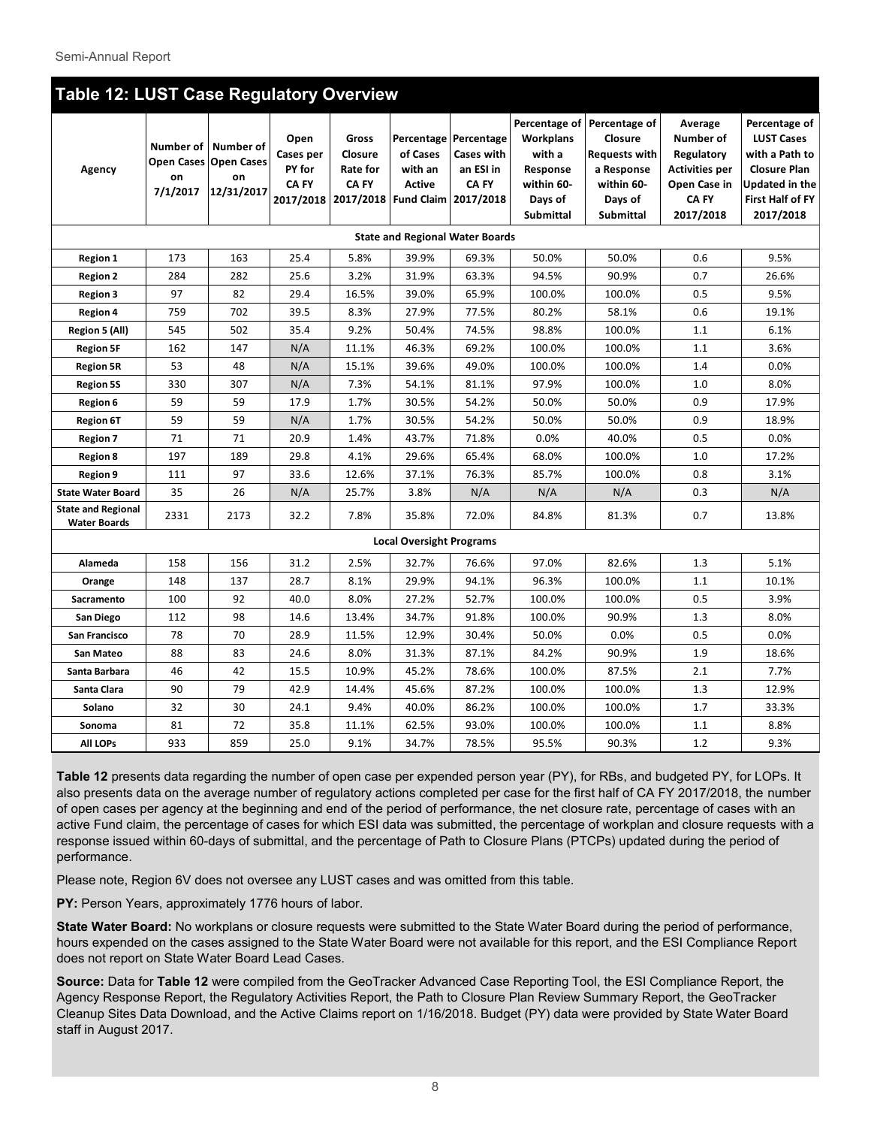| <b>Table 12: LUST Case Regulatory Overview</b>   |                             |                                                        |                                             |                                                                            |                                        |                                                                                   |                                                                       |                                                                                                                    |                                                                                                   |                                                                                                                                |
|--------------------------------------------------|-----------------------------|--------------------------------------------------------|---------------------------------------------|----------------------------------------------------------------------------|----------------------------------------|-----------------------------------------------------------------------------------|-----------------------------------------------------------------------|--------------------------------------------------------------------------------------------------------------------|---------------------------------------------------------------------------------------------------|--------------------------------------------------------------------------------------------------------------------------------|
| Agency                                           | Number of<br>on<br>7/1/2017 | Number of<br>Open Cases Open Cases<br>on<br>12/31/2017 | Open<br>Cases per<br>PY for<br><b>CA FY</b> | <b>Gross</b><br>Closure<br>Rate for<br><b>CA FY</b><br>2017/2018 2017/2018 | of Cases<br>with an<br><b>Active</b>   | Percentage Percentage<br>Cases with<br>an ESI in<br>CA FY<br>Fund Claim 2017/2018 | Workplans<br>with a<br>Response<br>within 60-<br>Days of<br>Submittal | Percentage of Percentage of<br>Closure<br><b>Requests with</b><br>a Response<br>within 60-<br>Days of<br>Submittal | Average<br>Number of<br>Regulatory<br><b>Activities per</b><br>Open Case in<br>CA FY<br>2017/2018 | Percentage of<br><b>LUST Cases</b><br>with a Path to<br><b>Closure Plan</b><br>Updated in the<br>First Half of FY<br>2017/2018 |
|                                                  |                             |                                                        |                                             |                                                                            | <b>State and Regional Water Boards</b> |                                                                                   |                                                                       |                                                                                                                    |                                                                                                   |                                                                                                                                |
| <b>Region 1</b>                                  | 173                         | 163                                                    | 25.4                                        | 5.8%                                                                       | 39.9%                                  | 69.3%                                                                             | 50.0%                                                                 | 50.0%                                                                                                              | 0.6                                                                                               | 9.5%                                                                                                                           |
| <b>Region 2</b>                                  | 284                         | 282                                                    | 25.6                                        | 3.2%                                                                       | 31.9%                                  | 63.3%                                                                             | 94.5%                                                                 | 90.9%                                                                                                              | 0.7                                                                                               | 26.6%                                                                                                                          |
| <b>Region 3</b>                                  | 97                          | 82                                                     | 29.4                                        | 16.5%                                                                      | 39.0%                                  | 65.9%                                                                             | 100.0%                                                                | 100.0%                                                                                                             | 0.5                                                                                               | 9.5%                                                                                                                           |
| <b>Region 4</b>                                  | 759                         | 702                                                    | 39.5                                        | 8.3%                                                                       | 27.9%                                  | 77.5%                                                                             | 80.2%                                                                 | 58.1%                                                                                                              | 0.6                                                                                               | 19.1%                                                                                                                          |
| Region 5 (All)                                   | 545                         | 502                                                    | 35.4                                        | 9.2%                                                                       | 50.4%                                  | 74.5%                                                                             | 98.8%                                                                 | 100.0%                                                                                                             | 1.1                                                                                               | 6.1%                                                                                                                           |
| <b>Region 5F</b>                                 | 162                         | 147                                                    | N/A                                         | 11.1%                                                                      | 46.3%                                  | 69.2%                                                                             | 100.0%                                                                | 100.0%                                                                                                             | 1.1                                                                                               | 3.6%                                                                                                                           |
| <b>Region 5R</b>                                 | 53                          | 48                                                     | N/A                                         | 15.1%                                                                      | 39.6%                                  | 49.0%                                                                             | 100.0%                                                                | 100.0%                                                                                                             | 1.4                                                                                               | 0.0%                                                                                                                           |
| <b>Region 5S</b>                                 | 330                         | 307                                                    | N/A                                         | 7.3%                                                                       | 54.1%                                  | 81.1%                                                                             | 97.9%                                                                 | 100.0%                                                                                                             | 1.0                                                                                               | 8.0%                                                                                                                           |
| <b>Region 6</b>                                  | 59                          | 59                                                     | 17.9                                        | 1.7%                                                                       | 30.5%                                  | 54.2%                                                                             | 50.0%                                                                 | 50.0%                                                                                                              | 0.9                                                                                               | 17.9%                                                                                                                          |
| <b>Region 6T</b>                                 | 59                          | 59                                                     | N/A                                         | 1.7%                                                                       | 30.5%                                  | 54.2%                                                                             | 50.0%                                                                 | 50.0%                                                                                                              | 0.9                                                                                               | 18.9%                                                                                                                          |
| <b>Region 7</b>                                  | 71                          | 71                                                     | 20.9                                        | 1.4%                                                                       | 43.7%                                  | 71.8%                                                                             | 0.0%                                                                  | 40.0%                                                                                                              | 0.5                                                                                               | 0.0%                                                                                                                           |
| <b>Region 8</b>                                  | 197                         | 189                                                    | 29.8                                        | 4.1%                                                                       | 29.6%                                  | 65.4%                                                                             | 68.0%                                                                 | 100.0%                                                                                                             | 1.0                                                                                               | 17.2%                                                                                                                          |
| Region 9                                         | 111                         | 97                                                     | 33.6                                        | 12.6%                                                                      | 37.1%                                  | 76.3%                                                                             | 85.7%                                                                 | 100.0%                                                                                                             | 0.8                                                                                               | 3.1%                                                                                                                           |
| <b>State Water Board</b>                         | 35                          | 26                                                     | N/A                                         | 25.7%                                                                      | 3.8%                                   | N/A                                                                               | N/A                                                                   | N/A                                                                                                                | 0.3                                                                                               | N/A                                                                                                                            |
| <b>State and Regional</b><br><b>Water Boards</b> | 2331                        | 2173                                                   | 32.2                                        | 7.8%                                                                       | 35.8%                                  | 72.0%                                                                             | 84.8%                                                                 | 81.3%                                                                                                              | 0.7                                                                                               | 13.8%                                                                                                                          |
|                                                  |                             |                                                        |                                             |                                                                            | <b>Local Oversight Programs</b>        |                                                                                   |                                                                       |                                                                                                                    |                                                                                                   |                                                                                                                                |
| Alameda                                          | 158                         | 156                                                    | 31.2                                        | 2.5%                                                                       | 32.7%                                  | 76.6%                                                                             | 97.0%                                                                 | 82.6%                                                                                                              | 1.3                                                                                               | 5.1%                                                                                                                           |
| Orange                                           | 148                         | 137                                                    | 28.7                                        | 8.1%                                                                       | 29.9%                                  | 94.1%                                                                             | 96.3%                                                                 | 100.0%                                                                                                             | 1.1                                                                                               | 10.1%                                                                                                                          |
| Sacramento                                       | 100                         | 92                                                     | 40.0                                        | 8.0%                                                                       | 27.2%                                  | 52.7%                                                                             | 100.0%                                                                | 100.0%                                                                                                             | 0.5                                                                                               | 3.9%                                                                                                                           |
| San Diego                                        | 112                         | 98                                                     | 14.6                                        | 13.4%                                                                      | 34.7%                                  | 91.8%                                                                             | 100.0%                                                                | 90.9%                                                                                                              | 1.3                                                                                               | 8.0%                                                                                                                           |
| San Francisco                                    | 78                          | 70                                                     | 28.9                                        | 11.5%                                                                      | 12.9%                                  | 30.4%                                                                             | 50.0%                                                                 | 0.0%                                                                                                               | 0.5                                                                                               | 0.0%                                                                                                                           |
| San Mateo                                        | 88                          | 83                                                     | 24.6                                        | 8.0%                                                                       | 31.3%                                  | 87.1%                                                                             | 84.2%                                                                 | 90.9%                                                                                                              | 1.9                                                                                               | 18.6%                                                                                                                          |
| Santa Barbara                                    | 46                          | 42                                                     | 15.5                                        | 10.9%                                                                      | 45.2%                                  | 78.6%                                                                             | 100.0%                                                                | 87.5%                                                                                                              | 2.1                                                                                               | 7.7%                                                                                                                           |
| Santa Clara                                      | 90                          | 79                                                     | 42.9                                        | 14.4%                                                                      | 45.6%                                  | 87.2%                                                                             | 100.0%                                                                | 100.0%                                                                                                             | 1.3                                                                                               | 12.9%                                                                                                                          |
| Solano                                           | 32                          | 30                                                     | 24.1                                        | 9.4%                                                                       | 40.0%                                  | 86.2%                                                                             | 100.0%                                                                | 100.0%                                                                                                             | 1.7                                                                                               | 33.3%                                                                                                                          |
| Sonoma                                           | 81                          | 72                                                     | 35.8                                        | 11.1%                                                                      | 62.5%                                  | 93.0%                                                                             | 100.0%                                                                | 100.0%                                                                                                             | 1.1                                                                                               | 8.8%                                                                                                                           |
| <b>All LOPs</b>                                  | 933                         | 859                                                    | 25.0                                        | 9.1%                                                                       | 34.7%                                  | 78.5%                                                                             | 95.5%                                                                 | 90.3%                                                                                                              | 1.2                                                                                               | 9.3%                                                                                                                           |

**Table 12** presents data regarding the number of open case per expended person year (PY), for RBs, and budgeted PY, for LOPs. It also presents data on the average number of regulatory actions completed per case for the first half of CA FY 2017/2018, the number of open cases per agency at the beginning and end of the period of performance, the net closure rate, percentage of cases with an active Fund claim, the percentage of cases for which ESI data was submitted, the percentage of workplan and closure requests with a response issued within 60-days of submittal, and the percentage of Path to Closure Plans (PTCPs) updated during the period of performance.

Please note, Region 6V does not oversee any LUST cases and was omitted from this table.

**PY:** Person Years, approximately 1776 hours of labor.

**State Water Board:** No workplans or closure requests were submitted to the State Water Board during the period of performance, hours expended on the cases assigned to the State Water Board were not available for this report, and the ESI Compliance Report does not report on State Water Board Lead Cases.

**Source:** Data for **Table 12** were compiled from the GeoTracker Advanced Case Reporting Tool, the ESI Compliance Report, the Agency Response Report, the Regulatory Activities Report, the Path to Closure Plan Review Summary Report, the GeoTracker Cleanup Sites Data Download, and the Active Claims report on 1/16/2018. Budget (PY) data were provided by State Water Board staff in August 2017.